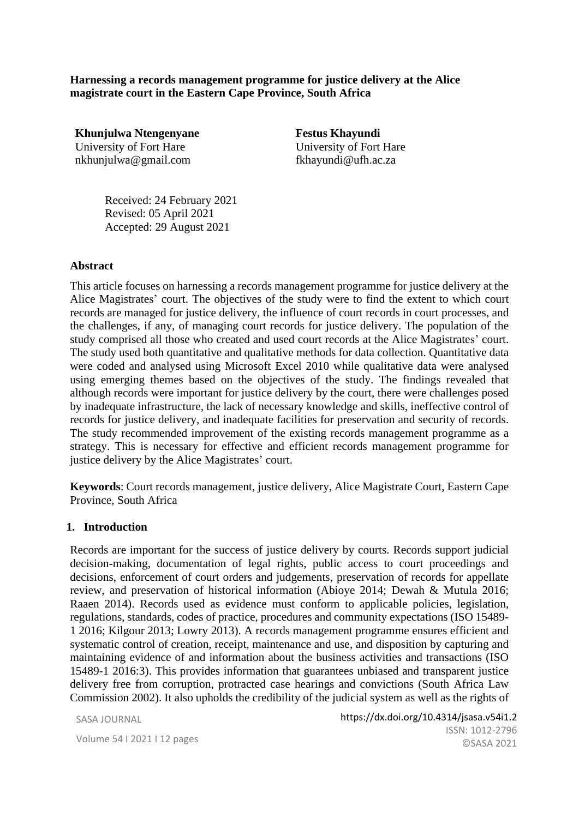**Harnessing a records management programme for justice delivery at the Alice magistrate court in the Eastern Cape Province, South Africa**

**Khunjulwa Ntengenyane** University of Fort Hare nkhunjulwa@gmail.com

**Festus Khayundi** University of Fort Hare fkhayundi@ufh.ac.za

Received: 24 February 2021 Revised: 05 April 2021 Accepted: 29 August 2021

#### **Abstract**

This article focuses on harnessing a records management programme for justice delivery at the Alice Magistrates' court. The objectives of the study were to find the extent to which court records are managed for justice delivery, the influence of court records in court processes, and the challenges, if any, of managing court records for justice delivery. The population of the study comprised all those who created and used court records at the Alice Magistrates' court. The study used both quantitative and qualitative methods for data collection. Quantitative data were coded and analysed using Microsoft Excel 2010 while qualitative data were analysed using emerging themes based on the objectives of the study. The findings revealed that although records were important for justice delivery by the court, there were challenges posed by inadequate infrastructure, the lack of necessary knowledge and skills, ineffective control of records for justice delivery, and inadequate facilities for preservation and security of records. The study recommended improvement of the existing records management programme as a strategy. This is necessary for effective and efficient records management programme for justice delivery by the Alice Magistrates' court.

**Keywords**: Court records management, justice delivery, Alice Magistrate Court, Eastern Cape Province, South Africa

#### **1. Introduction**

Records are important for the success of justice delivery by courts. Records support judicial decision-making, documentation of legal rights, public access to court proceedings and decisions, enforcement of court orders and judgements, preservation of records for appellate review, and preservation of historical information (Abioye 2014; Dewah & Mutula 2016; Raaen 2014). Records used as evidence must conform to applicable policies, legislation, regulations, standards, codes of practice, procedures and community expectations (ISO 15489- 1 2016; Kilgour 2013; Lowry 2013). A records management programme ensures efficient and systematic control of creation, receipt, maintenance and use, and disposition by capturing and maintaining evidence of and information about the business activities and transactions (ISO 15489-1 2016:3). This provides information that guarantees unbiased and transparent justice delivery free from corruption, protracted case hearings and convictions (South Africa Law Commission 2002). It also upholds the credibility of the judicial system as well as the rights of

SASA JOURNAL

Volume 54 I 2021 I 12 pages  $\bigcirc$  and  $\bigcirc$  are  $\bigcirc$  is a new  $\bigcirc$  is a new  $\bigcirc$  is a new  $\bigcirc$  is a new  $\bigcirc$  is a new  $\bigcirc$  is a new  $\bigcirc$  is a new  $\bigcirc$  is a new  $\bigcirc$  is a new  $\bigcirc$  is a new  $\bigcirc$  is a new  $\bigcirc$  is https://dx.doi.org/10.4314/jsasa.v54i1.2 ISSN: 1012-2796 ©SASA 2021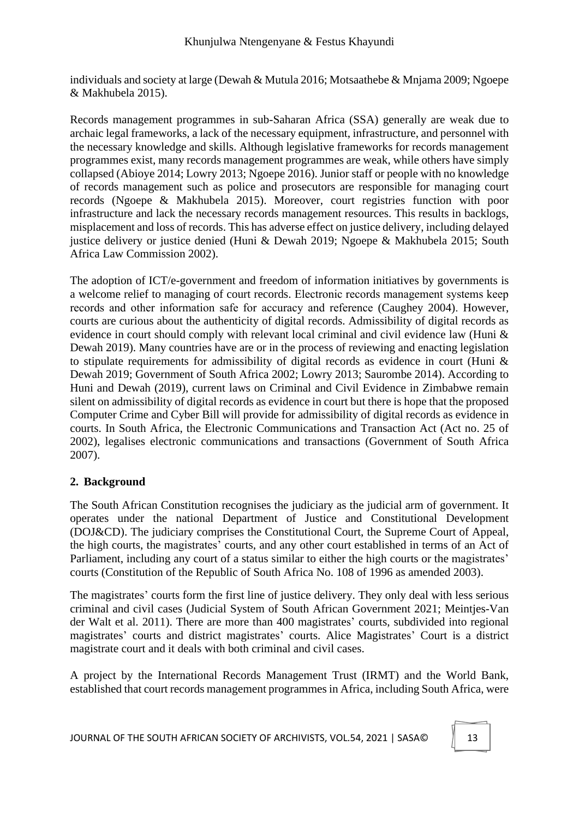individuals and society at large (Dewah & Mutula 2016; Motsaathebe & Mnjama 2009; Ngoepe & Makhubela 2015).

Records management programmes in sub-Saharan Africa (SSA) generally are weak due to archaic legal frameworks, a lack of the necessary equipment, infrastructure, and personnel with the necessary knowledge and skills. Although legislative frameworks for records management programmes exist, many records management programmes are weak, while others have simply collapsed (Abioye 2014; Lowry 2013; Ngoepe 2016). Junior staff or people with no knowledge of records management such as police and prosecutors are responsible for managing court records (Ngoepe & Makhubela 2015). Moreover, court registries function with poor infrastructure and lack the necessary records management resources. This results in backlogs, misplacement and loss of records. This has adverse effect on justice delivery, including delayed justice delivery or justice denied (Huni & Dewah 2019; Ngoepe & Makhubela 2015; South Africa Law Commission 2002).

The adoption of ICT/e-government and freedom of information initiatives by governments is a welcome relief to managing of court records. Electronic records management systems keep records and other information safe for accuracy and reference (Caughey 2004). However, courts are curious about the authenticity of digital records. Admissibility of digital records as evidence in court should comply with relevant local criminal and civil evidence law (Huni & Dewah 2019). Many countries have are or in the process of reviewing and enacting legislation to stipulate requirements for admissibility of digital records as evidence in court (Huni & Dewah 2019; Government of South Africa 2002; Lowry 2013; Saurombe 2014). According to Huni and Dewah (2019), current laws on Criminal and Civil Evidence in Zimbabwe remain silent on admissibility of digital records as evidence in court but there is hope that the proposed Computer Crime and Cyber Bill will provide for admissibility of digital records as evidence in courts. In South Africa, the Electronic Communications and Transaction Act (Act no. 25 of 2002), legalises electronic communications and transactions (Government of South Africa 2007).

## **2. Background**

The South African Constitution recognises the judiciary as the judicial arm of government. It operates under the national Department of Justice and Constitutional Development (DOJ&CD). The judiciary comprises the Constitutional Court, the Supreme Court of Appeal, the high courts, the magistrates' courts, and any other court established in terms of an Act of Parliament, including any court of a status similar to either the high courts or the magistrates' courts (Constitution of the Republic of South Africa No. 108 of 1996 as amended 2003).

The magistrates' courts form the first line of justice delivery. They only deal with less serious criminal and civil cases (Judicial System of South African Government 2021; Meintjes-Van der Walt et al. 2011). There are more than 400 magistrates' courts, subdivided into regional magistrates' courts and district magistrates' courts. Alice Magistrates' Court is a district magistrate court and it deals with both criminal and civil cases.

A project by the International Records Management Trust (IRMT) and the World Bank, established that court records management programmes in Africa, including South Africa, were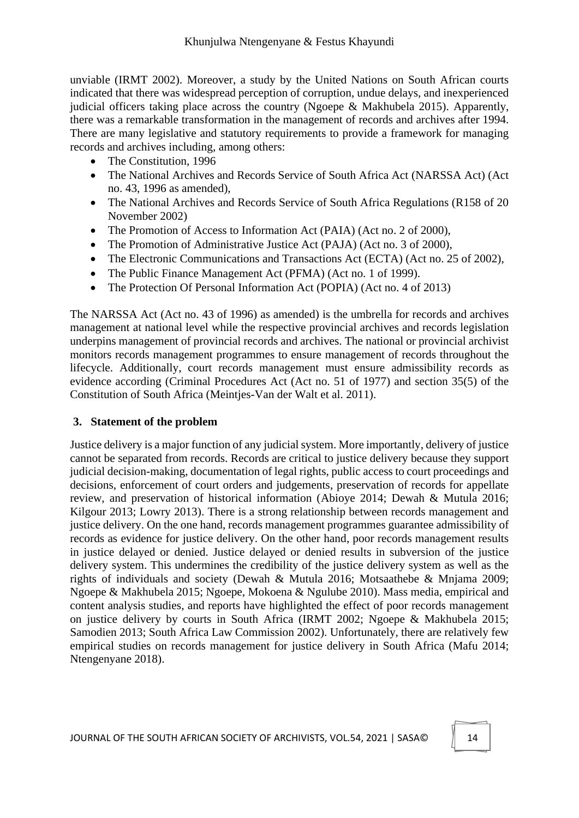unviable (IRMT 2002). Moreover, a study by the United Nations on South African courts indicated that there was widespread perception of corruption, undue delays, and inexperienced judicial officers taking place across the country (Ngoepe & Makhubela 2015). Apparently, there was a remarkable transformation in the management of records and archives after 1994. There are many legislative and statutory requirements to provide a framework for managing records and archives including, among others:

- The Constitution, 1996
- The National Archives and Records Service of South Africa Act (NARSSA Act) (Act no. 43, 1996 as amended),
- The National Archives and Records Service of South Africa Regulations (R158 of 20 November 2002)
- The Promotion of Access to Information Act (PAIA) (Act no. 2 of 2000),
- The Promotion of Administrative Justice Act (PAJA) (Act no. 3 of 2000),
- The Electronic Communications and Transactions Act (ECTA) (Act no. 25 of 2002),
- The Public Finance Management Act (PFMA) (Act no. 1 of 1999).
- The Protection Of Personal Information Act (POPIA) (Act no. 4 of 2013)

The NARSSA Act (Act no. 43 of 1996) as amended) is the umbrella for records and archives management at national level while the respective provincial archives and records legislation underpins management of provincial records and archives. The national or provincial archivist monitors records management programmes to ensure management of records throughout the lifecycle. Additionally, court records management must ensure admissibility records as evidence according (Criminal Procedures Act (Act no. 51 of 1977) and section 35(5) of the Constitution of South Africa (Meintjes-Van der Walt et al. 2011).

### **3. Statement of the problem**

Justice delivery is a major function of any judicial system. More importantly, delivery of justice cannot be separated from records. Records are critical to justice delivery because they support judicial decision-making, documentation of legal rights, public access to court proceedings and decisions, enforcement of court orders and judgements, preservation of records for appellate review, and preservation of historical information (Abioye 2014; Dewah & Mutula 2016; Kilgour 2013; Lowry 2013). There is a strong relationship between records management and justice delivery. On the one hand, records management programmes guarantee admissibility of records as evidence for justice delivery. On the other hand, poor records management results in justice delayed or denied. Justice delayed or denied results in subversion of the justice delivery system. This undermines the credibility of the justice delivery system as well as the rights of individuals and society (Dewah & Mutula 2016; Motsaathebe & Mnjama 2009; Ngoepe & Makhubela 2015; Ngoepe, Mokoena & Ngulube 2010). Mass media, empirical and content analysis studies, and reports have highlighted the effect of poor records management on justice delivery by courts in South Africa (IRMT 2002; Ngoepe & Makhubela 2015; Samodien 2013; South Africa Law Commission 2002). Unfortunately, there are relatively few empirical studies on records management for justice delivery in South Africa (Mafu 2014; Ntengenyane 2018).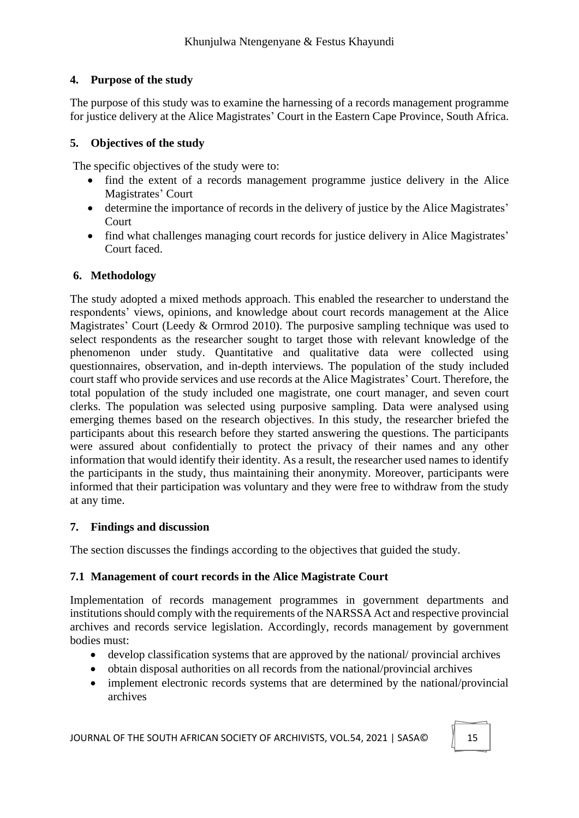# **4. Purpose of the study**

The purpose of this study was to examine the harnessing of a records management programme for justice delivery at the Alice Magistrates' Court in the Eastern Cape Province, South Africa.

# **5. Objectives of the study**

The specific objectives of the study were to:

- find the extent of a records management programme justice delivery in the Alice Magistrates' Court
- determine the importance of records in the delivery of justice by the Alice Magistrates' Court
- find what challenges managing court records for justice delivery in Alice Magistrates' Court faced.

# **6. Methodology**

The study adopted a mixed methods approach. This enabled the researcher to understand the respondents' views, opinions, and knowledge about court records management at the Alice Magistrates' Court (Leedy & Ormrod 2010). The purposive sampling technique was used to select respondents as the researcher sought to target those with relevant knowledge of the phenomenon under study. Quantitative and qualitative data were collected using questionnaires, observation, and in-depth interviews. The population of the study included court staff who provide services and use records at the Alice Magistrates' Court. Therefore, the total population of the study included one magistrate, one court manager, and seven court clerks. The population was selected using purposive sampling. Data were analysed using emerging themes based on the research objectives. In this study, the researcher briefed the participants about this research before they started answering the questions. The participants were assured about confidentially to protect the privacy of their names and any other information that would identify their identity. As a result, the researcher used names to identify the participants in the study, thus maintaining their anonymity. Moreover, participants were informed that their participation was voluntary and they were free to withdraw from the study at any time.

## **7. Findings and discussion**

The section discusses the findings according to the objectives that guided the study.

## **7.1 Management of court records in the Alice Magistrate Court**

Implementation of records management programmes in government departments and institutions should comply with the requirements of the NARSSA Act and respective provincial archives and records service legislation. Accordingly, records management by government bodies must:

- develop classification systems that are approved by the national/ provincial archives
- obtain disposal authorities on all records from the national/provincial archives
- implement electronic records systems that are determined by the national/provincial archives

JOURNAL OF THE SOUTH AFRICAN SOCIETY OF ARCHIVISTS, VOL.54, 2021 | SASA© 15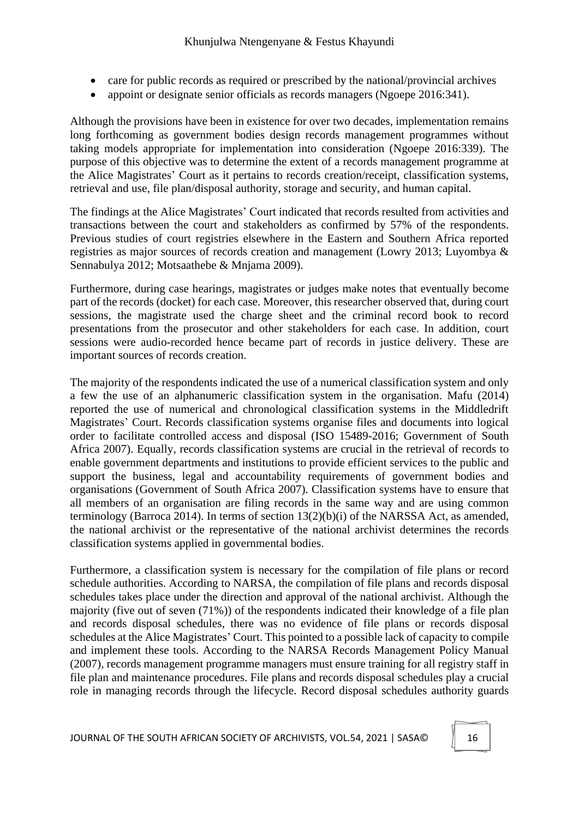- care for public records as required or prescribed by the national/provincial archives
- appoint or designate senior officials as records managers (Ngoepe 2016:341).

Although the provisions have been in existence for over two decades, implementation remains long forthcoming as government bodies design records management programmes without taking models appropriate for implementation into consideration (Ngoepe 2016:339). The purpose of this objective was to determine the extent of a records management programme at the Alice Magistrates' Court as it pertains to records creation/receipt, classification systems, retrieval and use, file plan/disposal authority, storage and security, and human capital.

The findings at the Alice Magistrates' Court indicated that records resulted from activities and transactions between the court and stakeholders as confirmed by 57% of the respondents. Previous studies of court registries elsewhere in the Eastern and Southern Africa reported registries as major sources of records creation and management (Lowry 2013; Luyombya & Sennabulya 2012; Motsaathebe & Mnjama 2009).

Furthermore, during case hearings, magistrates or judges make notes that eventually become part of the records (docket) for each case. Moreover, this researcher observed that, during court sessions, the magistrate used the charge sheet and the criminal record book to record presentations from the prosecutor and other stakeholders for each case. In addition, court sessions were audio-recorded hence became part of records in justice delivery. These are important sources of records creation.

The majority of the respondents indicated the use of a numerical classification system and only a few the use of an alphanumeric classification system in the organisation. Mafu (2014) reported the use of numerical and chronological classification systems in the Middledrift Magistrates' Court. Records classification systems organise files and documents into logical order to facilitate controlled access and disposal (ISO 15489-2016; Government of South Africa 2007). Equally, records classification systems are crucial in the retrieval of records to enable government departments and institutions to provide efficient services to the public and support the business, legal and accountability requirements of government bodies and organisations (Government of South Africa 2007). Classification systems have to ensure that all members of an organisation are filing records in the same way and are using common terminology (Barroca 2014). In terms of section 13(2)(b)(i) of the NARSSA Act, as amended, the national archivist or the representative of the national archivist determines the records classification systems applied in governmental bodies.

Furthermore, a classification system is necessary for the compilation of file plans or record schedule authorities. According to NARSA, the compilation of file plans and records disposal schedules takes place under the direction and approval of the national archivist. Although the majority (five out of seven (71%)) of the respondents indicated their knowledge of a file plan and records disposal schedules, there was no evidence of file plans or records disposal schedules at the Alice Magistrates' Court. This pointed to a possible lack of capacity to compile and implement these tools. According to the NARSA Records Management Policy Manual (2007), records management programme managers must ensure training for all registry staff in file plan and maintenance procedures. File plans and records disposal schedules play a crucial role in managing records through the lifecycle. Record disposal schedules authority guards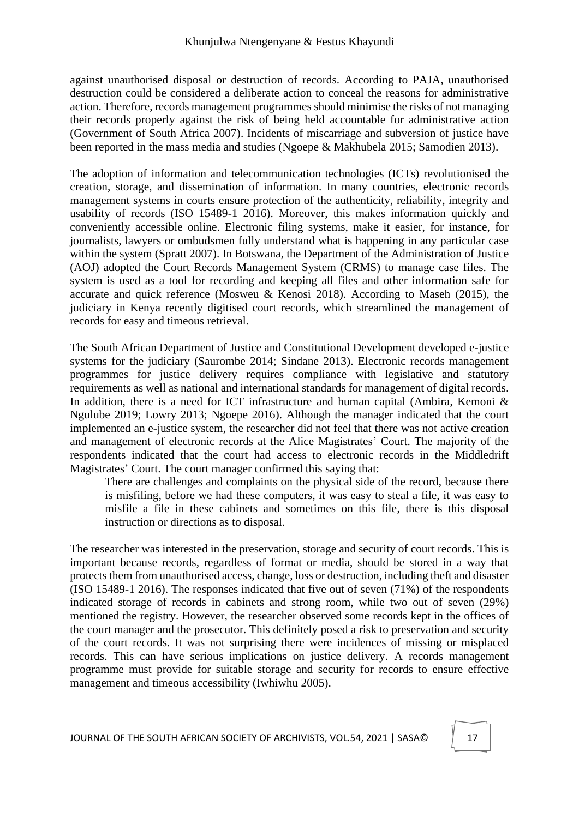against unauthorised disposal or destruction of records. According to PAJA, unauthorised destruction could be considered a deliberate action to conceal the reasons for administrative action. Therefore, records management programmes should minimise the risks of not managing their records properly against the risk of being held accountable for administrative action (Government of South Africa 2007). Incidents of miscarriage and subversion of justice have been reported in the mass media and studies (Ngoepe & Makhubela 2015; Samodien 2013).

The adoption of information and telecommunication technologies (ICTs) revolutionised the creation, storage, and dissemination of information. In many countries, electronic records management systems in courts ensure protection of the authenticity, reliability, integrity and usability of records (ISO 15489-1 2016). Moreover, this makes information quickly and conveniently accessible online. Electronic filing systems, make it easier, for instance, for journalists, lawyers or ombudsmen fully understand what is happening in any particular case within the system (Spratt 2007). In Botswana, the Department of the Administration of Justice (AOJ) adopted the Court Records Management System (CRMS) to manage case files. The system is used as a tool for recording and keeping all files and other information safe for accurate and quick reference (Mosweu & Kenosi 2018). According to Maseh (2015), the judiciary in Kenya recently digitised court records, which streamlined the management of records for easy and timeous retrieval.

The South African Department of Justice and Constitutional Development developed e-justice systems for the judiciary (Saurombe 2014; Sindane 2013). Electronic records management programmes for justice delivery requires compliance with legislative and statutory requirements as well as national and international standards for management of digital records. In addition, there is a need for ICT infrastructure and human capital (Ambira, Kemoni  $\&$ Ngulube 2019; Lowry 2013; Ngoepe 2016). Although the manager indicated that the court implemented an e-justice system, the researcher did not feel that there was not active creation and management of electronic records at the Alice Magistrates' Court. The majority of the respondents indicated that the court had access to electronic records in the Middledrift Magistrates' Court. The court manager confirmed this saying that:

There are challenges and complaints on the physical side of the record, because there is misfiling, before we had these computers, it was easy to steal a file, it was easy to misfile a file in these cabinets and sometimes on this file, there is this disposal instruction or directions as to disposal.

The researcher was interested in the preservation, storage and security of court records. This is important because records, regardless of format or media, should be stored in a way that protects them from unauthorised access, change, loss or destruction, including theft and disaster (ISO 15489-1 2016). The responses indicated that five out of seven (71%) of the respondents indicated storage of records in cabinets and strong room, while two out of seven (29%) mentioned the registry. However, the researcher observed some records kept in the offices of the court manager and the prosecutor. This definitely posed a risk to preservation and security of the court records. It was not surprising there were incidences of missing or misplaced records. This can have serious implications on justice delivery. A records management programme must provide for suitable storage and security for records to ensure effective management and timeous accessibility (Iwhiwhu 2005).

JOURNAL OF THE SOUTH AFRICAN SOCIETY OF ARCHIVISTS, VOL.54, 2021 | SASA© 17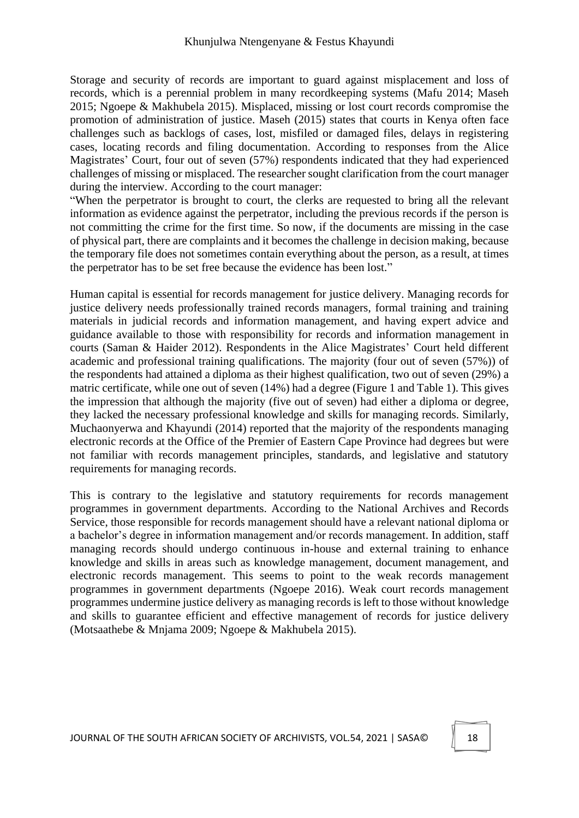Storage and security of records are important to guard against misplacement and loss of records, which is a perennial problem in many recordkeeping systems (Mafu 2014; Maseh 2015; Ngoepe & Makhubela 2015). Misplaced, missing or lost court records compromise the promotion of administration of justice. Maseh (2015) states that courts in Kenya often face challenges such as backlogs of cases, lost, misfiled or damaged files, delays in registering cases, locating records and filing documentation. According to responses from the Alice Magistrates' Court, four out of seven (57%) respondents indicated that they had experienced challenges of missing or misplaced. The researcher sought clarification from the court manager during the interview. According to the court manager:

"When the perpetrator is brought to court, the clerks are requested to bring all the relevant information as evidence against the perpetrator, including the previous records if the person is not committing the crime for the first time. So now, if the documents are missing in the case of physical part, there are complaints and it becomes the challenge in decision making, because the temporary file does not sometimes contain everything about the person, as a result, at times the perpetrator has to be set free because the evidence has been lost."

Human capital is essential for records management for justice delivery. Managing records for justice delivery needs professionally trained records managers, formal training and training materials in judicial records and information management, and having expert advice and guidance available to those with responsibility for records and information management in courts (Saman & Haider 2012). Respondents in the Alice Magistrates' Court held different academic and professional training qualifications. The majority (four out of seven (57%)) of the respondents had attained a diploma as their highest qualification, two out of seven (29%) a matric certificate, while one out of seven (14%) had a degree (Figure 1 and Table 1). This gives the impression that although the majority (five out of seven) had either a diploma or degree, they lacked the necessary professional knowledge and skills for managing records. Similarly, Muchaonyerwa and Khayundi (2014) reported that the majority of the respondents managing electronic records at the Office of the Premier of Eastern Cape Province had degrees but were not familiar with records management principles, standards, and legislative and statutory requirements for managing records.

This is contrary to the legislative and statutory requirements for records management programmes in government departments. According to the National Archives and Records Service, those responsible for records management should have a relevant national diploma or a bachelor's degree in information management and/or records management. In addition, staff managing records should undergo continuous in-house and external training to enhance knowledge and skills in areas such as knowledge management, document management, and electronic records management. This seems to point to the weak records management programmes in government departments (Ngoepe 2016). Weak court records management programmes undermine justice delivery as managing records is left to those without knowledge and skills to guarantee efficient and effective management of records for justice delivery (Motsaathebe & Mnjama 2009; Ngoepe & Makhubela 2015).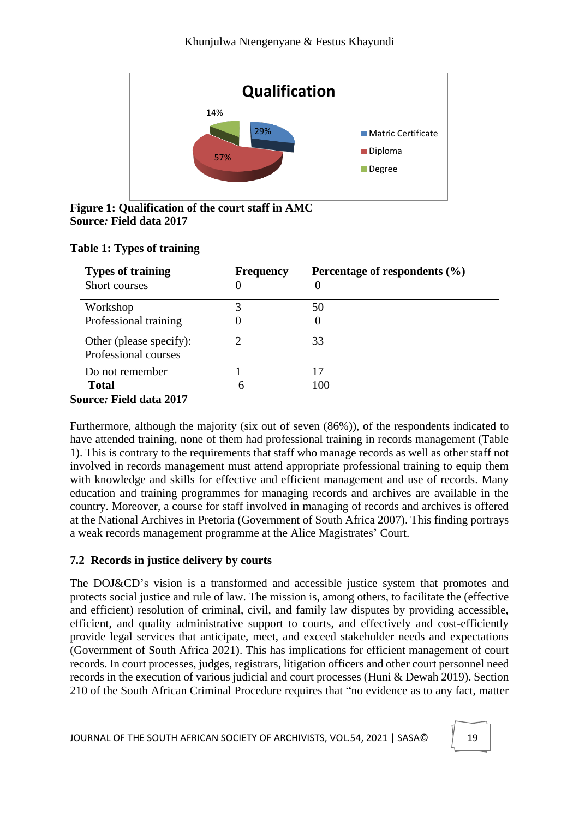

**Figure 1: Qualification of the court staff in AMC Source***:* **Field data 2017**

|  |  | <b>Table 1: Types of training</b> |
|--|--|-----------------------------------|
|--|--|-----------------------------------|

| <b>Types of training</b>                        | <b>Frequency</b> | Percentage of respondents $(\% )$ |
|-------------------------------------------------|------------------|-----------------------------------|
| Short courses                                   | O                | U                                 |
| Workshop                                        | 3                | 50                                |
| Professional training                           | 0                | U                                 |
| Other (please specify):<br>Professional courses | $\overline{2}$   | 33                                |
| Do not remember                                 |                  |                                   |
| <b>Total</b>                                    |                  |                                   |

#### **Source***:* **Field data 2017**

Furthermore, although the majority (six out of seven (86%)), of the respondents indicated to have attended training, none of them had professional training in records management (Table 1). This is contrary to the requirements that staff who manage records as well as other staff not involved in records management must attend appropriate professional training to equip them with knowledge and skills for effective and efficient management and use of records. Many education and training programmes for managing records and archives are available in the country. Moreover, a course for staff involved in managing of records and archives is offered at the National Archives in Pretoria (Government of South Africa 2007). This finding portrays a weak records management programme at the Alice Magistrates' Court.

### **7.2 Records in justice delivery by courts**

The DOJ&CD's vision is a transformed and accessible justice system that promotes and protects social justice and rule of law. The mission is, among others, to facilitate the (effective and efficient) resolution of criminal, civil, and family law disputes by providing accessible, efficient, and quality administrative support to courts, and effectively and cost-efficiently provide legal services that anticipate, meet, and exceed stakeholder needs and expectations (Government of South Africa 2021). This has implications for efficient management of court records. In court processes, judges, registrars, litigation officers and other court personnel need records in the execution of various judicial and court processes (Huni & Dewah 2019). Section 210 of the South African Criminal Procedure requires that "no evidence as to any fact, matter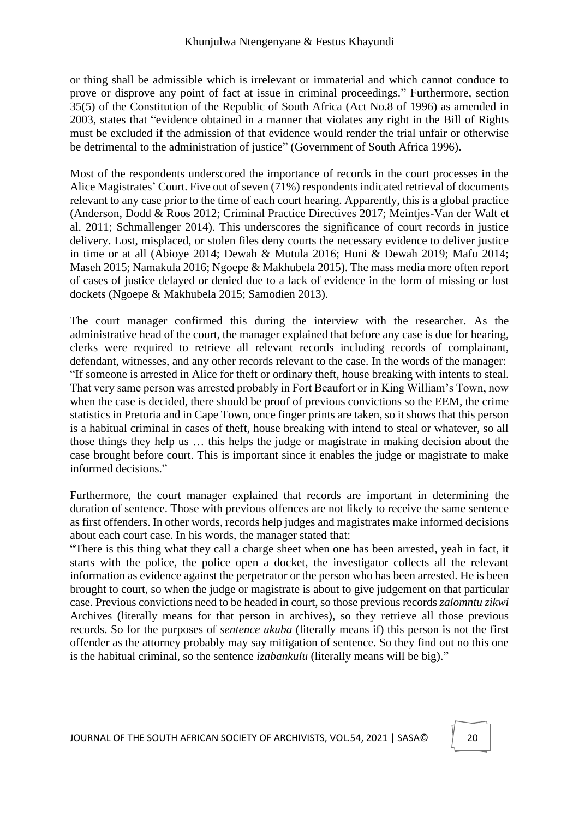or thing shall be admissible which is irrelevant or immaterial and which cannot conduce to prove or disprove any point of fact at issue in criminal proceedings." Furthermore, section 35(5) of the Constitution of the Republic of South Africa (Act No.8 of 1996) as amended in 2003, states that "evidence obtained in a manner that violates any right in the Bill of Rights must be excluded if the admission of that evidence would render the trial unfair or otherwise be detrimental to the administration of justice" (Government of South Africa 1996).

Most of the respondents underscored the importance of records in the court processes in the Alice Magistrates' Court. Five out of seven (71%) respondents indicated retrieval of documents relevant to any case prior to the time of each court hearing. Apparently, this is a global practice (Anderson, Dodd & Roos 2012; Criminal Practice Directives 2017; Meintjes-Van der Walt et al. 2011; Schmallenger 2014). This underscores the significance of court records in justice delivery. Lost, misplaced, or stolen files deny courts the necessary evidence to deliver justice in time or at all (Abioye 2014; Dewah & Mutula 2016; Huni & Dewah 2019; Mafu 2014; Maseh 2015; Namakula 2016; Ngoepe & Makhubela 2015). The mass media more often report of cases of justice delayed or denied due to a lack of evidence in the form of missing or lost dockets (Ngoepe & Makhubela 2015; Samodien 2013).

The court manager confirmed this during the interview with the researcher. As the administrative head of the court, the manager explained that before any case is due for hearing, clerks were required to retrieve all relevant records including records of complainant, defendant, witnesses, and any other records relevant to the case. In the words of the manager: "If someone is arrested in Alice for theft or ordinary theft, house breaking with intents to steal. That very same person was arrested probably in Fort Beaufort or in King William's Town, now when the case is decided, there should be proof of previous convictions so the EEM, the crime statistics in Pretoria and in Cape Town, once finger prints are taken, so it shows that this person is a habitual criminal in cases of theft, house breaking with intend to steal or whatever, so all those things they help us … this helps the judge or magistrate in making decision about the case brought before court. This is important since it enables the judge or magistrate to make informed decisions."

Furthermore, the court manager explained that records are important in determining the duration of sentence. Those with previous offences are not likely to receive the same sentence as first offenders. In other words, records help judges and magistrates make informed decisions about each court case. In his words, the manager stated that:

"There is this thing what they call a charge sheet when one has been arrested, yeah in fact, it starts with the police, the police open a docket, the investigator collects all the relevant information as evidence against the perpetrator or the person who has been arrested. He is been brought to court, so when the judge or magistrate is about to give judgement on that particular case. Previous convictions need to be headed in court, so those previous records *zalomntu zikwi* Archives (literally means for that person in archives), so they retrieve all those previous records. So for the purposes of *sentence ukuba* (literally means if) this person is not the first offender as the attorney probably may say mitigation of sentence. So they find out no this one is the habitual criminal, so the sentence *izabankulu* (literally means will be big)."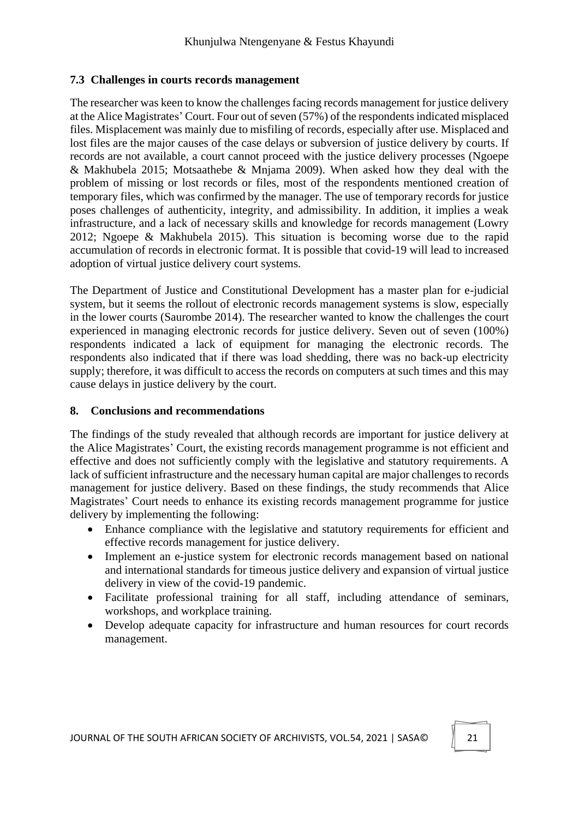#### **7.3 Challenges in courts records management**

The researcher was keen to know the challenges facing records management for justice delivery at the Alice Magistrates' Court. Four out of seven (57%) of the respondents indicated misplaced files. Misplacement was mainly due to misfiling of records, especially after use. Misplaced and lost files are the major causes of the case delays or subversion of justice delivery by courts. If records are not available, a court cannot proceed with the justice delivery processes (Ngoepe & Makhubela 2015; Motsaathebe & Mnjama 2009). When asked how they deal with the problem of missing or lost records or files, most of the respondents mentioned creation of temporary files, which was confirmed by the manager. The use of temporary records for justice poses challenges of authenticity, integrity, and admissibility. In addition, it implies a weak infrastructure, and a lack of necessary skills and knowledge for records management (Lowry 2012; Ngoepe & Makhubela 2015). This situation is becoming worse due to the rapid accumulation of records in electronic format. It is possible that covid-19 will lead to increased adoption of virtual justice delivery court systems.

The Department of Justice and Constitutional Development has a master plan for e-judicial system, but it seems the rollout of electronic records management systems is slow, especially in the lower courts (Saurombe 2014). The researcher wanted to know the challenges the court experienced in managing electronic records for justice delivery. Seven out of seven (100%) respondents indicated a lack of equipment for managing the electronic records. The respondents also indicated that if there was load shedding, there was no back-up electricity supply; therefore, it was difficult to access the records on computers at such times and this may cause delays in justice delivery by the court.

#### **8. Conclusions and recommendations**

The findings of the study revealed that although records are important for justice delivery at the Alice Magistrates' Court, the existing records management programme is not efficient and effective and does not sufficiently comply with the legislative and statutory requirements. A lack of sufficient infrastructure and the necessary human capital are major challenges to records management for justice delivery. Based on these findings, the study recommends that Alice Magistrates' Court needs to enhance its existing records management programme for justice delivery by implementing the following:

- Enhance compliance with the legislative and statutory requirements for efficient and effective records management for justice delivery.
- Implement an e-justice system for electronic records management based on national and international standards for timeous justice delivery and expansion of virtual justice delivery in view of the covid-19 pandemic.
- Facilitate professional training for all staff, including attendance of seminars, workshops, and workplace training.
- Develop adequate capacity for infrastructure and human resources for court records management.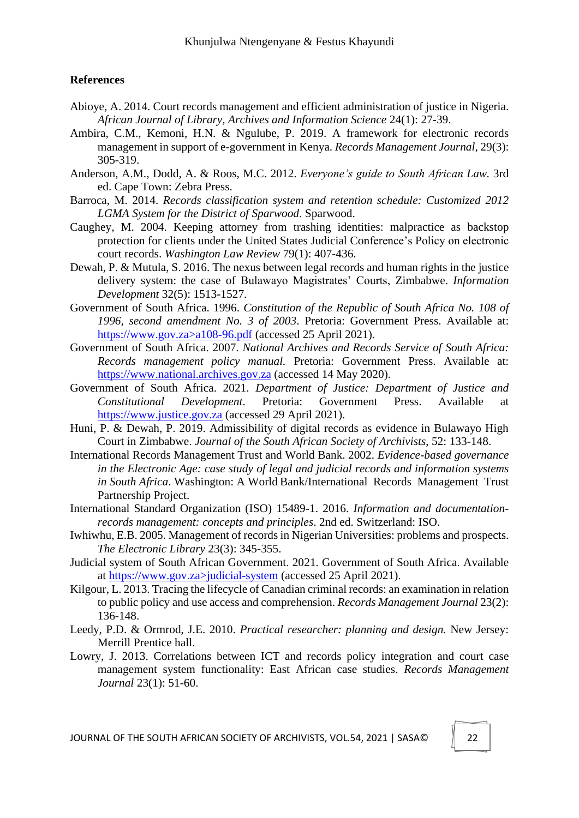#### **References**

- Abioye, A. 2014. Court records management and efficient administration of justice in Nigeria. *African Journal of Library, Archives and Information Science* 24(1): 27-39.
- Ambira, C.M., Kemoni, H.N. & Ngulube, P. 2019. A framework for electronic records management in support of e-government in Kenya. *Records Management Journal,* 29(3): 305-319.
- Anderson, A.M., Dodd, A. & Roos, M.C. 2012. *Everyone's guide to South African Law.* 3rd ed. Cape Town: Zebra Press.
- Barroca, M. 2014. *Records classification system and retention schedule: Customized 2012 LGMA System for the District of Sparwood*. Sparwood.
- Caughey, M. 2004. Keeping attorney from trashing identities: malpractice as backstop protection for clients under the United States Judicial Conference's Policy on electronic court records. *Washington Law Review* 79(1): 407-436.
- Dewah, P. & Mutula, S. 2016. The nexus between legal records and human rights in the justice delivery system: the case of Bulawayo Magistrates' Courts, Zimbabwe. *Information Development* 32(5): 1513-1527.
- Government of South Africa. 1996. *Constitution of the Republic of South Africa No. 108 of 1996, second amendment No. 3 of 2003*. Pretoria: Government Press. Available at: https://www.gov.za>a108-96.pdf (accessed 25 April 2021).
- Government of South Africa. 2007. *National Archives and Records Service of South Africa: Records management policy manual.* Pretoria: Government Press. Available at: https://www.national.archives.gov.za (accessed 14 May 2020).
- Government of South Africa. 2021. *Department of Justice: Department of Justice and Constitutional Development*. Pretoria: Government Press. Available at https://www.justice.gov.za (accessed 29 April 2021).
- Huni, P. & Dewah, P. 2019. Admissibility of digital records as evidence in Bulawayo High Court in Zimbabwe. *Journal of the South African Society of Archivists*, 52: 133-148.
- International Records Management Trust and World Bank. 2002. *Evidence-based governance in the Electronic Age: case study of legal and judicial records and information systems in South Africa*. Washington: A World Bank/International Records Management Trust Partnership Project.
- International Standard Organization (ISO) 15489-1. 2016. *Information and documentationrecords management: concepts and principles*. 2nd ed. Switzerland: ISO.
- Iwhiwhu, E.B. 2005. Management of records in Nigerian Universities: problems and prospects. *The Electronic Library* 23(3): 345-355.
- Judicial system of South African Government. 2021. Government of South Africa. Available at https://www.gov.za>judicial-system (accessed 25 April 2021).
- Kilgour, L. 2013. Tracing the lifecycle of Canadian criminal records: an examination in relation to public policy and use access and comprehension. *Records Management Journal* 23(2): 136-148.
- Leedy, P.D. & Ormrod, J.E. 2010. *Practical researcher: planning and design.* New Jersey: Merrill Prentice hall.
- Lowry, J. 2013. Correlations between ICT and records policy integration and court case management system functionality: East African case studies. *Records Management Journal* 23(1): 51-60.